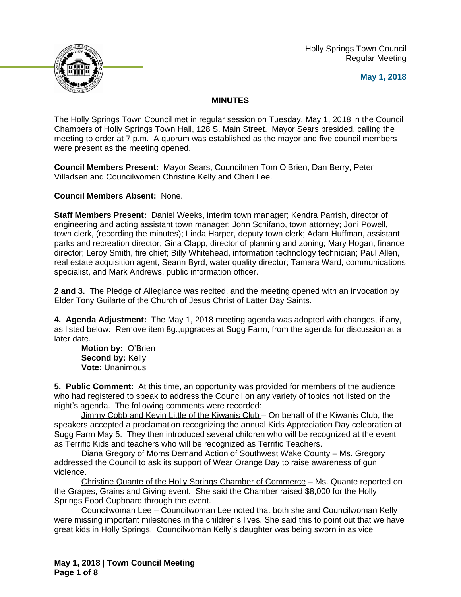Holly Springs Town Council Regular Meeting





# **MINUTES**

The Holly Springs Town Council met in regular session on Tuesday, May 1, 2018 in the Council Chambers of Holly Springs Town Hall, 128 S. Main Street. Mayor Sears presided, calling the meeting to order at 7 p.m. A quorum was established as the mayor and five council members were present as the meeting opened.

**Council Members Present:** Mayor Sears, Councilmen Tom O'Brien, Dan Berry, Peter Villadsen and Councilwomen Christine Kelly and Cheri Lee.

**Council Members Absent:** None.

**Staff Members Present:** Daniel Weeks, interim town manager; Kendra Parrish, director of engineering and acting assistant town manager; John Schifano, town attorney; Joni Powell, town clerk, (recording the minutes); Linda Harper, deputy town clerk; Adam Huffman, assistant parks and recreation director; Gina Clapp, director of planning and zoning; Mary Hogan, finance director; Leroy Smith, fire chief; Billy Whitehead, information technology technician; Paul Allen, real estate acquisition agent, Seann Byrd, water quality director; Tamara Ward, communications specialist, and Mark Andrews, public information officer.

**2 and 3.** The Pledge of Allegiance was recited, and the meeting opened with an invocation by Elder Tony Guilarte of the Church of Jesus Christ of Latter Day Saints.

**4. Agenda Adjustment:** The May 1, 2018 meeting agenda was adopted with changes, if any, as listed below: Remove item 8g.,upgrades at Sugg Farm, from the agenda for discussion at a later date.

**Motion by:** O'Brien **Second by: Kelly Vote:** Unanimous

**5. Public Comment:** At this time, an opportunity was provided for members of the audience who had registered to speak to address the Council on any variety of topics not listed on the night's agenda. The following comments were recorded:

Jimmy Cobb and Kevin Little of the Kiwanis Club – On behalf of the Kiwanis Club, the speakers accepted a proclamation recognizing the annual Kids Appreciation Day celebration at Sugg Farm May 5. They then introduced several children who will be recognized at the event as Terrific Kids and teachers who will be recognized as Terrific Teachers.

Diana Gregory of Moms Demand Action of Southwest Wake County – Ms. Gregory addressed the Council to ask its support of Wear Orange Day to raise awareness of gun violence.

Christine Quante of the Holly Springs Chamber of Commerce – Ms. Quante reported on the Grapes, Grains and Giving event. She said the Chamber raised \$8,000 for the Holly Springs Food Cupboard through the event.

Councilwoman Lee – Councilwoman Lee noted that both she and Councilwoman Kelly were missing important milestones in the children's lives. She said this to point out that we have great kids in Holly Springs. Councilwoman Kelly's daughter was being sworn in as vice

**May 1, 2018 | Town Council Meeting Page 1 of 8**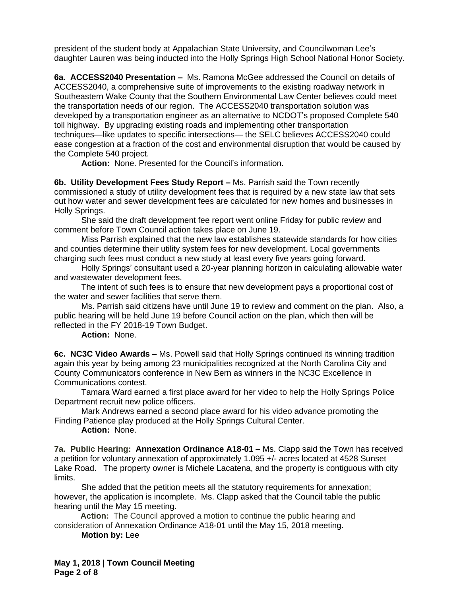president of the student body at Appalachian State University, and Councilwoman Lee's daughter Lauren was being inducted into the Holly Springs High School National Honor Society.

**6a. ACCESS2040 Presentation –** Ms. Ramona McGee addressed the Council on details of ACCESS2040, a comprehensive suite of improvements to the existing roadway network in Southeastern Wake County that the Southern Environmental Law Center believes could meet the transportation needs of our region. The ACCESS2040 transportation solution was developed by a transportation engineer as an alternative to NCDOT's proposed Complete 540 toll highway. By upgrading existing roads and implementing other transportation techniques—like updates to specific intersections— the SELC believes ACCESS2040 could ease congestion at a fraction of the cost and environmental disruption that would be caused by the Complete 540 project.

**Action:** None. Presented for the Council's information.

**6b. Utility Development Fees Study Report - Ms. Parrish said the Town recently** commissioned a study of utility development fees that is required by a new state law that sets out how water and sewer development fees are calculated for new homes and businesses in Holly Springs.

She said the draft development fee report went online Friday for public review and comment before Town Council action takes place on June 19.

Miss Parrish explained that the new law establishes statewide standards for how cities and counties determine their utility system fees for new development. Local governments charging such fees must conduct a new study at least every five years going forward.

Holly Springs' consultant used a 20-year planning horizon in calculating allowable water and wastewater development fees.

The intent of such fees is to ensure that new development pays a proportional cost of the water and sewer facilities that serve them.

Ms. Parrish said citizens have until June 19 to review and comment on the plan. Also, a public hearing will be held June 19 before Council action on the plan, which then will be reflected in the FY 2018-19 Town Budget.

**Action:** None.

**6c. NC3C Video Awards –** Ms. Powell said that Holly Springs continued its winning tradition again this year by being among 23 municipalities recognized at the North Carolina City and County Communicators conference in New Bern as winners in the NC3C Excellence in Communications contest.

Tamara Ward earned a first place award for her video to help the Holly Springs Police Department recruit new police officers.

Mark Andrews earned a second place award for his video advance promoting the Finding Patience play produced at the Holly Springs Cultural Center.

**Action:** None.

**7a. Public Hearing: Annexation Ordinance A18-01 – Ms. Clapp said the Town has received** a petition for voluntary annexation of approximately 1.095 +/- acres located at 4528 Sunset Lake Road. The property owner is Michele Lacatena, and the property is contiguous with city limits.

She added that the petition meets all the statutory requirements for annexation; however, the application is incomplete. Ms. Clapp asked that the Council table the public hearing until the May 15 meeting.

**Action:** The Council approved a motion to continue the public hearing and consideration of Annexation Ordinance A18-01 until the May 15, 2018 meeting.

**Motion by:** Lee

**May 1, 2018 | Town Council Meeting Page 2 of 8**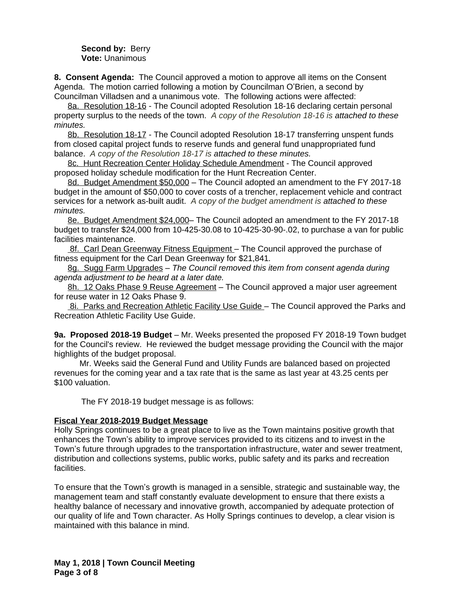#### **Second by: Berry Vote:** Unanimous

**8. Consent Agenda:** The Council approved a motion to approve all items on the Consent Agenda. The motion carried following a motion by Councilman O'Brien, a second by Councilman Villadsen and a unanimous vote. The following actions were affected:

8a. Resolution 18-16 - The Council adopted Resolution 18-16 declaring certain personal property surplus to the needs of the town. *A copy of the Resolution 18-16 is attached to these minutes.*

8b. Resolution 18-17 - The Council adopted Resolution 18-17 transferring unspent funds from closed capital project funds to reserve funds and general fund unappropriated fund balance. *A copy of the Resolution 18-17 is attached to these minutes.*

8c. Hunt Recreation Center Holiday Schedule Amendment - The Council approved proposed holiday schedule modification for the Hunt Recreation Center.

8d. Budget Amendment \$50,000 - The Council adopted an amendment to the FY 2017-18 budget in the amount of \$50,000 to cover costs of a trencher, replacement vehicle and contract services for a network as-built audit. *A copy of the budget amendment is attached to these minutes.*

8e. Budget Amendment \$24,000– The Council adopted an amendment to the FY 2017-18 budget to transfer \$24,000 from 10-425-30.08 to 10-425-30-90-.02, to purchase a van for public facilities maintenance.

 8f. Carl Dean Greenway Fitness Equipment – The Council approved the purchase of fitness equipment for the Carl Dean Greenway for \$21,841*.*

8g. Sugg Farm Upgrades – *The Council removed this item from consent agenda during agenda adjustment to be heard at a later date.* 

8h. 12 Oaks Phase 9 Reuse Agreement – The Council approved a major user agreement for reuse water in 12 Oaks Phase 9.

8i. Parks and Recreation Athletic Facility Use Guide - The Council approved the Parks and Recreation Athletic Facility Use Guide.

**9a. Proposed 2018-19 Budget** – Mr. Weeks presented the proposed FY 2018-19 Town budget for the Council's review. He reviewed the budget message providing the Council with the major highlights of the budget proposal.

 Mr. Weeks said the General Fund and Utility Funds are balanced based on projected revenues for the coming year and a tax rate that is the same as last year at 43.25 cents per \$100 valuation.

The FY 2018-19 budget message is as follows:

## **Fiscal Year 2018-2019 Budget Message**

Holly Springs continues to be a great place to live as the Town maintains positive growth that enhances the Town's ability to improve services provided to its citizens and to invest in the Town's future through upgrades to the transportation infrastructure, water and sewer treatment, distribution and collections systems, public works, public safety and its parks and recreation facilities.

To ensure that the Town's growth is managed in a sensible, strategic and sustainable way, the management team and staff constantly evaluate development to ensure that there exists a healthy balance of necessary and innovative growth, accompanied by adequate protection of our quality of life and Town character. As Holly Springs continues to develop, a clear vision is maintained with this balance in mind.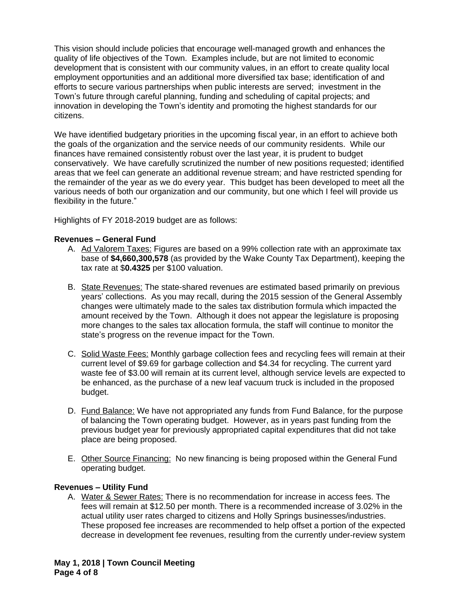This vision should include policies that encourage well-managed growth and enhances the quality of life objectives of the Town. Examples include, but are not limited to economic development that is consistent with our community values, in an effort to create quality local employment opportunities and an additional more diversified tax base; identification of and efforts to secure various partnerships when public interests are served; investment in the Town's future through careful planning, funding and scheduling of capital projects; and innovation in developing the Town's identity and promoting the highest standards for our citizens.

We have identified budgetary priorities in the upcoming fiscal year, in an effort to achieve both the goals of the organization and the service needs of our community residents. While our finances have remained consistently robust over the last year, it is prudent to budget conservatively. We have carefully scrutinized the number of new positions requested; identified areas that we feel can generate an additional revenue stream; and have restricted spending for the remainder of the year as we do every year. This budget has been developed to meet all the various needs of both our organization and our community, but one which I feel will provide us flexibility in the future."

Highlights of FY 2018-2019 budget are as follows:

### **Revenues – General Fund**

- A. Ad Valorem Taxes: Figures are based on a 99% collection rate with an approximate tax base of **\$4,660,300,578** (as provided by the Wake County Tax Department), keeping the tax rate at \$**0.4325** per \$100 valuation.
- B. State Revenues: The state-shared revenues are estimated based primarily on previous years' collections. As you may recall, during the 2015 session of the General Assembly changes were ultimately made to the sales tax distribution formula which impacted the amount received by the Town. Although it does not appear the legislature is proposing more changes to the sales tax allocation formula, the staff will continue to monitor the state's progress on the revenue impact for the Town.
- C. Solid Waste Fees: Monthly garbage collection fees and recycling fees will remain at their current level of \$9.69 for garbage collection and \$4.34 for recycling. The current yard waste fee of \$3.00 will remain at its current level, although service levels are expected to be enhanced, as the purchase of a new leaf vacuum truck is included in the proposed budget.
- D. Fund Balance: We have not appropriated any funds from Fund Balance, for the purpose of balancing the Town operating budget. However, as in years past funding from the previous budget year for previously appropriated capital expenditures that did not take place are being proposed.
- E. Other Source Financing: No new financing is being proposed within the General Fund operating budget.

### **Revenues – Utility Fund**

A. Water & Sewer Rates: There is no recommendation for increase in access fees. The fees will remain at \$12.50 per month. There is a recommended increase of 3.02% in the actual utility user rates charged to citizens and Holly Springs businesses/industries. These proposed fee increases are recommended to help offset a portion of the expected decrease in development fee revenues, resulting from the currently under-review system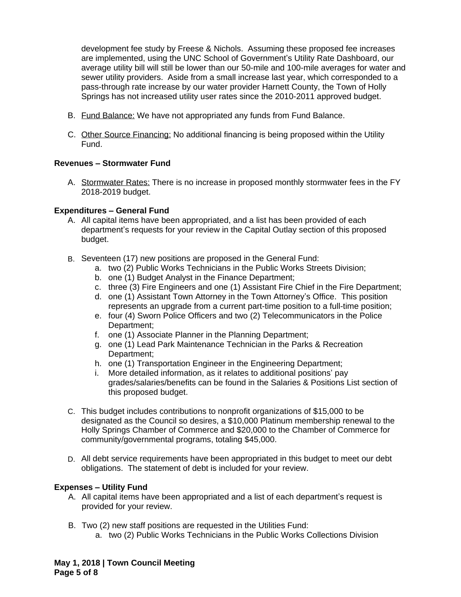development fee study by Freese & Nichols. Assuming these proposed fee increases are implemented, using the UNC School of Government's Utility Rate Dashboard, our average utility bill will still be lower than our 50-mile and 100-mile averages for water and sewer utility providers. Aside from a small increase last year, which corresponded to a pass-through rate increase by our water provider Harnett County, the Town of Holly Springs has not increased utility user rates since the 2010-2011 approved budget.

- B. Fund Balance: We have not appropriated any funds from Fund Balance.
- C. Other Source Financing: No additional financing is being proposed within the Utility Fund.

## **Revenues – Stormwater Fund**

A. Stormwater Rates: There is no increase in proposed monthly stormwater fees in the FY 2018-2019 budget.

### **Expenditures – General Fund**

- A. All capital items have been appropriated, and a list has been provided of each department's requests for your review in the Capital Outlay section of this proposed budget.
- B. Seventeen (17) new positions are proposed in the General Fund:
	- a. two (2) Public Works Technicians in the Public Works Streets Division;
	- b. one (1) Budget Analyst in the Finance Department;
	- c. three (3) Fire Engineers and one (1) Assistant Fire Chief in the Fire Department;
	- d. one (1) Assistant Town Attorney in the Town Attorney's Office. This position represents an upgrade from a current part-time position to a full-time position;
	- e. four (4) Sworn Police Officers and two (2) Telecommunicators in the Police Department:
	- f. one (1) Associate Planner in the Planning Department;
	- g. one (1) Lead Park Maintenance Technician in the Parks & Recreation Department;
	- h. one (1) Transportation Engineer in the Engineering Department;
	- i. More detailed information, as it relates to additional positions' pay grades/salaries/benefits can be found in the Salaries & Positions List section of this proposed budget.
- C. This budget includes contributions to nonprofit organizations of \$15,000 to be designated as the Council so desires, a \$10,000 Platinum membership renewal to the Holly Springs Chamber of Commerce and \$20,000 to the Chamber of Commerce for community/governmental programs, totaling \$45,000.
- D. All debt service requirements have been appropriated in this budget to meet our debt obligations. The statement of debt is included for your review.

## **Expenses – Utility Fund**

- A. All capital items have been appropriated and a list of each department's request is provided for your review.
- B. Two (2) new staff positions are requested in the Utilities Fund: a. two (2) Public Works Technicians in the Public Works Collections Division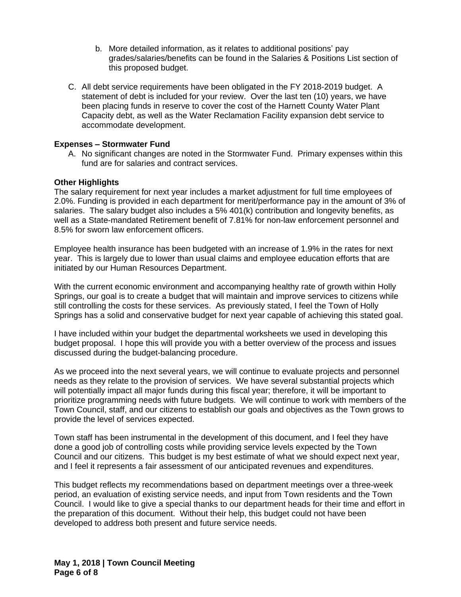- b. More detailed information, as it relates to additional positions' pay grades/salaries/benefits can be found in the Salaries & Positions List section of this proposed budget.
- C. All debt service requirements have been obligated in the FY 2018-2019 budget. A statement of debt is included for your review. Over the last ten (10) years, we have been placing funds in reserve to cover the cost of the Harnett County Water Plant Capacity debt, as well as the Water Reclamation Facility expansion debt service to accommodate development.

### **Expenses – Stormwater Fund**

A. No significant changes are noted in the Stormwater Fund. Primary expenses within this fund are for salaries and contract services.

#### **Other Highlights**

The salary requirement for next year includes a market adjustment for full time employees of 2.0%. Funding is provided in each department for merit/performance pay in the amount of 3% of salaries. The salary budget also includes a 5% 401(k) contribution and longevity benefits, as well as a State-mandated Retirement benefit of 7.81% for non-law enforcement personnel and 8.5% for sworn law enforcement officers.

Employee health insurance has been budgeted with an increase of 1.9% in the rates for next year. This is largely due to lower than usual claims and employee education efforts that are initiated by our Human Resources Department.

With the current economic environment and accompanying healthy rate of growth within Holly Springs, our goal is to create a budget that will maintain and improve services to citizens while still controlling the costs for these services. As previously stated, I feel the Town of Holly Springs has a solid and conservative budget for next year capable of achieving this stated goal.

I have included within your budget the departmental worksheets we used in developing this budget proposal. I hope this will provide you with a better overview of the process and issues discussed during the budget-balancing procedure.

As we proceed into the next several years, we will continue to evaluate projects and personnel needs as they relate to the provision of services. We have several substantial projects which will potentially impact all major funds during this fiscal year; therefore, it will be important to prioritize programming needs with future budgets. We will continue to work with members of the Town Council, staff, and our citizens to establish our goals and objectives as the Town grows to provide the level of services expected.

Town staff has been instrumental in the development of this document, and I feel they have done a good job of controlling costs while providing service levels expected by the Town Council and our citizens. This budget is my best estimate of what we should expect next year, and I feel it represents a fair assessment of our anticipated revenues and expenditures.

This budget reflects my recommendations based on department meetings over a three-week period, an evaluation of existing service needs, and input from Town residents and the Town Council. I would like to give a special thanks to our department heads for their time and effort in the preparation of this document. Without their help, this budget could not have been developed to address both present and future service needs.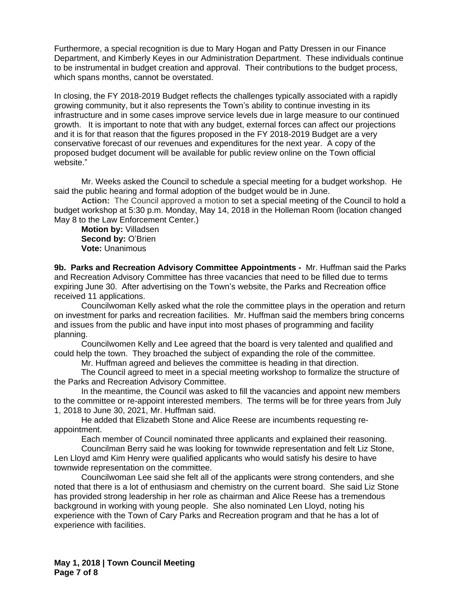Furthermore, a special recognition is due to Mary Hogan and Patty Dressen in our Finance Department, and Kimberly Keyes in our Administration Department. These individuals continue to be instrumental in budget creation and approval. Their contributions to the budget process, which spans months, cannot be overstated.

In closing, the FY 2018-2019 Budget reflects the challenges typically associated with a rapidly growing community, but it also represents the Town's ability to continue investing in its infrastructure and in some cases improve service levels due in large measure to our continued growth. It is important to note that with any budget, external forces can affect our projections and it is for that reason that the figures proposed in the FY 2018-2019 Budget are a very conservative forecast of our revenues and expenditures for the next year. A copy of the proposed budget document will be available for public review online on the Town official website."

Mr. Weeks asked the Council to schedule a special meeting for a budget workshop. He said the public hearing and formal adoption of the budget would be in June.

**Action:** The Council approved a motion to set a special meeting of the Council to hold a budget workshop at 5:30 p.m. Monday, May 14, 2018 in the Holleman Room (location changed May 8 to the Law Enforcement Center.)

**Motion by:** Villadsen **Second by:** O'Brien **Vote:** Unanimous

**9b. Parks and Recreation Advisory Committee Appointments -** Mr. Huffman said the Parks and Recreation Advisory Committee has three vacancies that need to be filled due to terms expiring June 30. After advertising on the Town's website, the Parks and Recreation office received 11 applications.

Councilwoman Kelly asked what the role the committee plays in the operation and return on investment for parks and recreation facilities. Mr. Huffman said the members bring concerns and issues from the public and have input into most phases of programming and facility planning.

Councilwomen Kelly and Lee agreed that the board is very talented and qualified and could help the town. They broached the subject of expanding the role of the committee.

Mr. Huffman agreed and believes the committee is heading in that direction.

The Council agreed to meet in a special meeting workshop to formalize the structure of the Parks and Recreation Advisory Committee.

In the meantime, the Council was asked to fill the vacancies and appoint new members to the committee or re-appoint interested members. The terms will be for three years from July 1, 2018 to June 30, 2021, Mr. Huffman said.

He added that Elizabeth Stone and Alice Reese are incumbents requesting reappointment.

Each member of Council nominated three applicants and explained their reasoning.

Councilman Berry said he was looking for townwide representation and felt Liz Stone, Len Lloyd amd Kim Henry were qualified applicants who would satisfy his desire to have townwide representation on the committee.

Councilwoman Lee said she felt all of the applicants were strong contenders, and she noted that there is a lot of enthusiasm and chemistry on the current board. She said Liz Stone has provided strong leadership in her role as chairman and Alice Reese has a tremendous background in working with young people. She also nominated Len Lloyd, noting his experience with the Town of Cary Parks and Recreation program and that he has a lot of experience with facilities.